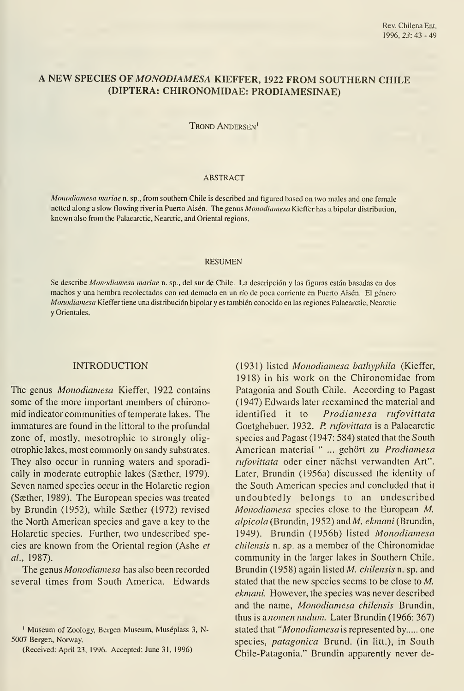# A NEW SPECIES OF MONODIAMESA KIEFFER, <sup>1922</sup> FROM SOUTHERN CHILE (DÍPTERA: CHIRONOMIDAE: PRODIAMESINAE)

Trond Andersen'

#### ABSTRACT

Monodiamesa mariae n. sp., from southern Chile is described and figured based on two males and one female netted along a slow flowing river in Puerto Aisén. The genus Monodiamesa Kieffer has a bipolar distribution, known also from the Palaearctic, Nearctic, and Oriental regions.

#### RESUMEN

Se describe Monodiamesa mariae n. sp., del sur de Chile. La descripción y las figuras están basadas en dos machos y una hembra recolectados con red demacla en un río de poca corriente en Puerto Aisén. El género Monodiamesa Kieffer tiene una distribución bipolar y es también conocido en las regiones Palaearctic, Nearctic y Orientales.

### INTRODUCTION

The genus *Monodiamesa* Kieffer, 1922 contains some of the more important members of chironomid indicator communities of temperate lakes. The immatures are found in the littoral to the profundal zone of, mostly, mesotrophic to strongly oligotrophic lakes, most commonly on sandy substrates. They also occur in running waters and sporadically in moderate eutrophic lakes (Sæther, 1979). Seven named species occur in the Holarctic región (Saether, 1989). The European species was treated by Brundin (1952), while Saether (1972) revised the North American species and gave a key to the Holarctic species. Further, two undescribed species are known from the Oriental region (Ashe et al, 1987).

The genus Monodiamesa has also been recorded several times from South America. Edwards

(1931) listed Monodiamesa bathyphila (Kieffer, 1918) in his work on the Chironomidae from Patagonia and South Chile. According to Pagast (1947) Edwards later reexamined the material and identified it to Prodiamesa rufovittata Goetghebuer, 1932. P. rufovittata is a Palaearctic species and Pagast (1947: 584) stated that the South American material " ... gehört zu Prodiamesa rufovittata oder einer nächst verwandten Art". Later, Brundin (1956a) discussed the identity of the South American species and concluded that it undoubtedly belongs to an undescribed Monodiamesa species close to the European M. alpicola (Brundin, 1952) and M. ekmani (Brundin, 1949). Brundin (1956b) listed Monodiamesa chilensis n. sp. as a member of the Chironomidae community in the larger lakes in Southern Chile. Brundin (1958) again listed M. chilensis n. sp. and stated that the new species seems to be close to  $M$ . ekmani. However, the species was never described and the name, Monodiamesa chilensis Brundin, thus is anomen nudum. Later Brundin (1966: 367) stated that "Monodiamesa is represented by..... one species, *patagonica* Brund. (in litt.), in South Chile-Patagonia." Brundin apparently never de-

<sup>&#</sup>x27; Museum of Zoology, Bergen Museum, Muséplass 3, N-5007 Bergen, Norway.

<sup>(</sup>Received; April 23, 1996. Accepted: June 31, 1996)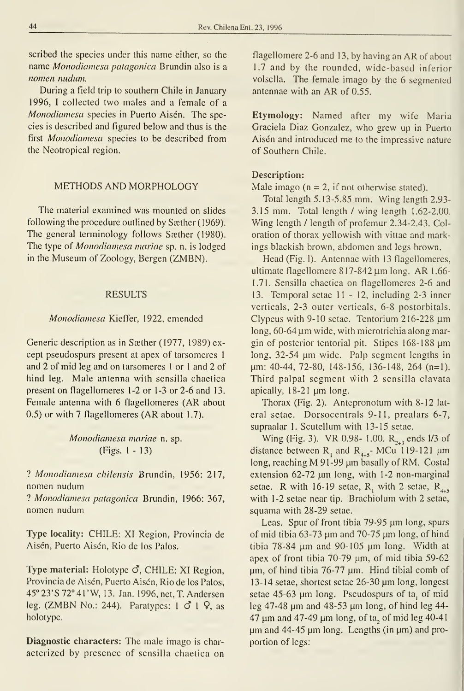scribed the species under this name either, so the name Monodiamesa patagónica Brundin also is a nomen nudum.

During a field trip to southern Chile in January 1996, I collected two males and a female of a Monodiamesa species in Puerto Aisén. The species is described and figured below and thus is the first Monodiamesa species to be described from the Neotropical región.

### METHODS AND MORPHOLOGY

The material examined was mounted on slides following the procedure outlined by Saether (1969). The general terminology follows Sæther (1980). The type of Monodiamesa mariae sp. n. is lodged in the Museum of Zoology, Bergen (ZMBN).

#### RESULTS

### Monodiamesa Kieffer, 1922, emended

Generic description as in Sæther (1977, 1989) except pseudospurs present at apex of tarsomeres <sup>1</sup> and 2 of mid leg and on tarsomeres <sup>1</sup> or <sup>1</sup> and 2 of hind leg. Male antenna with sensilla chaetica present on flagellomeres 1-2 or 1-3 or 2-6 and 13. Female antenna with 6 flagellomeres (AR about 0.5) or with 7 flagellomeres (AR about 1.7).

## Monodiamesa mariae n. sp. (Figs. 1-13)

? Monodiamesa chilensis Brundin, 1956: 217, nomen nudum

? Monodiamesa patagónica Brundin, 1966: 367, nomen nudum

Type locality: CHILE: XI Region, Provincia de Aisén, Puerto Aisén, Rio de los Palos.

Type material: Holotype  $\mathcal{O}$ , CHILE: XI Region, Provincia de Aisén, Puerto Aisén, Rio de los Palos, 45° 23' S 72° 41' W, 13. Jan. 1996, net, T. Andersen leg. (ZMBN No.: 244). Paratypes:  $1 \circ 1 \circ 9$ , as holotype,

Diagnostic characters: The male imago is char acterized by presence of sensilla chaetica on flagellomere 2-6 and 13, by having an AR of about 1.7 and by the rounded, wide-based inferior volsella. The female imago by the 6 segmented antennae with an AR of 0.55.

Etymology: Named after my wife Maria Graciela Diaz González, who grew up in Puerto Aisén and introduced me to the impressive nature of Southern Chile.

### Description:

Male imago ( $n = 2$ , if not otherwise stated).

Total length 5.13-5.85 mm. Wing length 2.93- 3.15 mm. Total length / wing length 1.62-2.00. Wing length / length of profemur 2.34-2.43. Coloration of thorax yellowish with vittae and markings blackish brown, abdomen and legs brown.

Head (Fig. 1). Antennae with 13 flagellomeres, ultimate flagellomere  $817-842 \mu m$  long. AR 1.66-1.71. Sensilla chaetica on flagellomeres 2-6 and 13. Temporal setae 11 - 12, including 2-3 inner verticals, 2-3 outer verticals, 6-8 postorbitals. Clypeus with 9-10 setae. Tentorium  $216-228 \mu m$  $\log$ , 60-64  $\mu$ m wide, with microtrichia along margin of posterior tentorial pit. Stipes  $168-188 \mu m$ long, 32-54 µm wide. Palp segment lengths in pm: 40-44, 72-80, 148-156, 136-148, 264 (n=l). Third paipai segment with 2 sensilla clavata apically,  $18-21 \mu m$  long.

Thorax (Fig. 2). Antepronotum with 8-12 lat eral setae. Dorsocentrals 9-11, prealars 6-7, supraalar 1. Scutellum with 13-15 setae.

Wing (Fig. 3). VR 0.98- 1.00.  $R_{2+3}$  ends 1/3 of distance between  $R_1$  and  $R_{4+5}$ - MCu 119-121 µm long, reaching  $M$  91-99  $\mu$ m basally of RM. Costal extension 62-72 µm long, with 1-2 non-marginal setae. R with 16-19 setae,  $R_1$  with 2 setae,  $R_{4+5}$ with 1-2 setae near tip. Brachiolum with 2 setae, squama with 28-29 setae.

Leas. Spur of front tibia  $79-95 \mu m$  long, spurs of mid tibia 63-73  $\mu$ m and 70-75  $\mu$ m long, of hind tibia  $78-84$  µm and  $90-105$  µm long. Width at apex of front tibia  $70-79$   $\mu$ m, of mid tibia 59-62  $\mu$ m, of hind tibia 76-77  $\mu$ m. Hind tibial comb of 13-14 setae, shortest setae 26-30 \\m long, longest setae 45-63 µm long. Pseudospurs of ta, of mid leg 47-48  $\mu$ m and 48-53  $\mu$ m long, of hind leg 44-47  $\mu$ m and 47-49  $\mu$ m long, of ta, of mid leg 40-41  $\mu$ m and 44-45  $\mu$ m long. Lengths (in  $\mu$ m) and proportion of legs: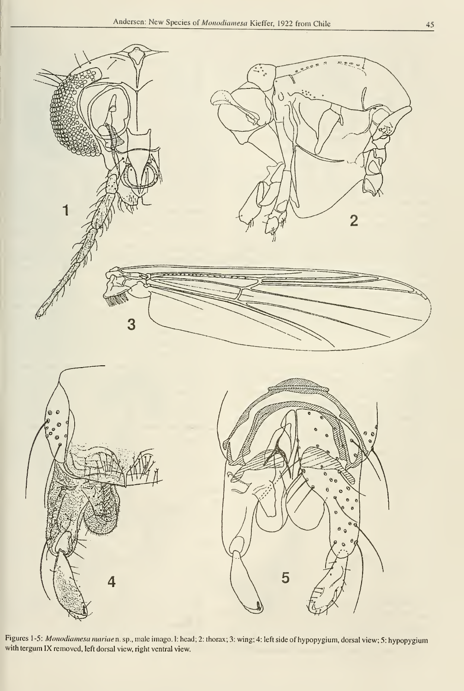

Figures <sup>1</sup> -5: Monodiamesa mariaen. sp., male imago. 1: head; 2: thorax; 3: wing; 4: left side of hypopygium, dorsal view; 5: hypopygium with tergum IX removed, left dorsal view, right ventral view.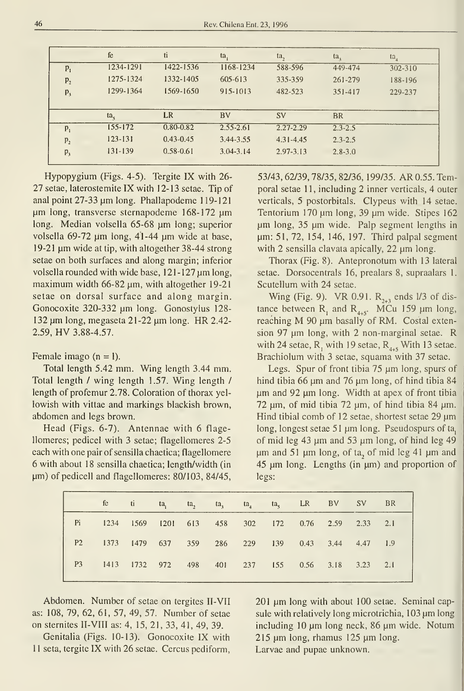|                | fe          | ti            | ta,           | ta,           | ta,         | $ta_{4}$ |  |
|----------------|-------------|---------------|---------------|---------------|-------------|----------|--|
| $P_1$          | 1234-1291   | 1422-1536     | 1168-1234     | 588-596       | 449-474     | 302-310  |  |
| $P_2$          | 1275-1324   | 1332-1405     | $-605 - 613$  | 335-359       | 261-279     | 188-196  |  |
| $P_3$          | 1299-1364   | 1569-1650     | 915-1013      | 482-523       | 351-417     | 229-237  |  |
|                |             |               |               |               |             |          |  |
|                | $ta_{s}$    | LR            | <b>BV</b>     | <b>SV</b>     | <b>BR</b>   |          |  |
| $P_1$          | $155 - 172$ | $0.80 - 0.82$ | $2.55 - 2.61$ | $2.27 - 2.29$ | $2.3 - 2.5$ |          |  |
| P <sub>2</sub> | $123 - 131$ | $0.43 - 0.45$ | 3.44-3.55     | $4.31 - 4.45$ | $2.3 - 2.5$ |          |  |
| $P_3$          | $131 - 139$ | $0.58 - 0.61$ | $3.04 - 3.14$ | 2.97-3.13     | $2.8 - 3.0$ |          |  |
|                |             |               |               |               |             |          |  |

Hypopygium (Figs. 4-5). Tergite IX with 26- 27 setae, laterostemite IX with 12-13 setae. Tip of anal point  $27-33 \mu m$  long. Phallapodeme 119-121 µm long, transverse sternapodeme 168-172 µm long. Median volsella 65-68 µm long; superior volsella 69-72  $\mu$ m long, 41-44  $\mu$ m wide at base, 19-21  $\mu$ m wide at tip, with altogether 38-44 strong setae on both surfaces and along margin; inferior volsella rounded with wide base,  $121 - 127 \,\mu m$  long, maximum width 66-82  $\mu$ m, with altogether 19-21 setae on dorsal surface and along margin. Gonocoxite 320-332 µm long. Gonostylus 128- $132 \mu m$  long, megaseta 21-22  $\mu m$  long. HR 2.42-2.59, HV 3.88-4.57.

Female imago  $(n = 1)$ .

Total length 5.42 mm. Wing length 3.44 mm. Total length / wing length 1.57. Wing length / length of profemur 2.78. Coloration of thorax yellowish with vittae and markings blackish brown, abdomen and legs brown.

Head (Figs. 6-7). Antennae with 6 flagellomeres; pedicel with 3 setae; flagellomeres 2-5 each with one pair of sensilla chaetica; flagellomere 6 with about 18 sensilla chaetica; length/width (in  $\mu$ m) of pedicell and flagellomeres: 80/103, 84/45,

53/43,62/39,78/35,82/36, 199/35. AR 0.55. Temporal setae 11, including 2 inner verticals, 4 outer verticals, 5 postorbitals. Clypeus with 14 setae. Tentorium 170 µm long, 39 µm wide. Stipes 162  $µm$  long, 35  $µm$  wide. Palp segment lengths in µm: 51, 72, 154, 146, 197. Third palpal segment with 2 sensilla clavata apically,  $22 \mu m$  long.

Thorax (Fig. 8). Antepronotum with 13 lateral setae. Dorsocentrals 16, prealars 8, supraalars 1. Scutellum with 24 setae.

Wing (Fig. 9). VR 0.91.  $R_{2+3}$  ends 1/3 of distance between  $R_1$  and  $R_{4+5}$ . MCu 159  $\mu$ m long, reaching  $M$  90  $\mu$ m basally of RM. Costal extension 97  $\mu$ m long, with 2 non-marginal setae. R with 24 setae,  $R_1$  with 19 setae,  $R_{4+5}$  With 13 setae. Brachiolum with 3 setae, squama with 37 setae.

Legs. Spur of front tibia  $75 \mu m$  long, spurs of hind tibia 66  $\mu$ m and 76  $\mu$ m long, of hind tibia 84 pm and 92 pm long. Width at apex of front tibia 72  $\mu$ m, of mid tibia 72  $\mu$ m, of hind tibia 84  $\mu$ m. Hind tibial comb of 12 setae, shortest setae 29  $\mu$ m long, longest setae 51 µm long. Pseudospurs of ta, of mid leg 43  $\mu$ m and 53  $\mu$ m long, of hind leg 49  $\mu$ m and 51  $\mu$ m long, of ta, of mid leg 41  $\mu$ m and  $45 \mu m$  long. Lengths (in  $\mu m$ ) and proportion of legs:

|                                                      |  |  |  | fe ti ta <sub>1</sub> ta <sub>2</sub> ta <sub>3</sub> ta <sub>4</sub> ta <sub>5</sub> LR BV SV BR |  |  |
|------------------------------------------------------|--|--|--|---------------------------------------------------------------------------------------------------|--|--|
| Pi 1234 1569 1201 613 458 302 172 0.76 2.59 2.33 2.1 |  |  |  |                                                                                                   |  |  |
| P2 1373 1479 637 359 286 229 139 0.43 3.44 4.47 1.9  |  |  |  |                                                                                                   |  |  |
| P3 1413 1732 972 498 401 237 155 0.56 3.18 3.23 2.1  |  |  |  |                                                                                                   |  |  |

Abdomen. Number of setae on tergites II-VII as: 108, 79, 62, 61, 57, 49, 57. Number of setae on sternites II-VIII as: 4, 15, 21, 33, 41, 49, 39.

Genitalia (Figs. 10-13). Gonocoxite IX with 11 seta, tergite IX with 26 setae. Cercus pediform, 201 µm long with about 100 setae. Seminal capsule with relatively long microtrichia, 103 um long including 10 µm long neck, 86 µm wide. Notum  $215 \mu m$  long, rhamus 125  $\mu$ m long. Larvae and pupae unknown.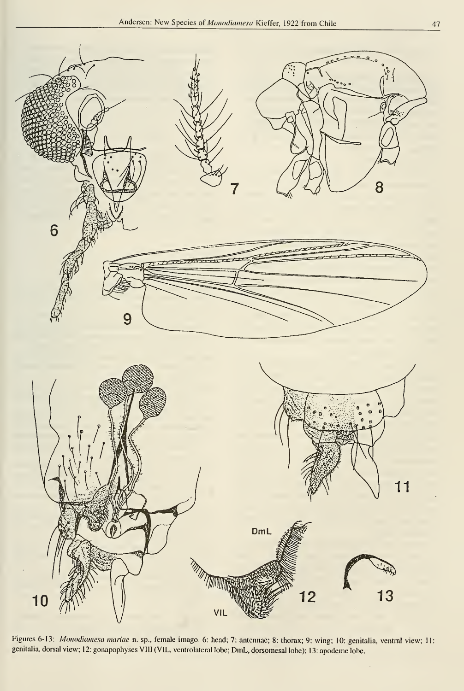

Figures 6-13: Monodiamesa mariae n. sp., female imago. 6: head; 7: antennae; 8: thorax; 9: wing; 10: genitalia, ventral view; 11: genitalia, dorsal view; 12: gonapophyses VIH (VIL, ventrolateral lobe; DmL, dorsomesal lobe); 13: apódeme lobe.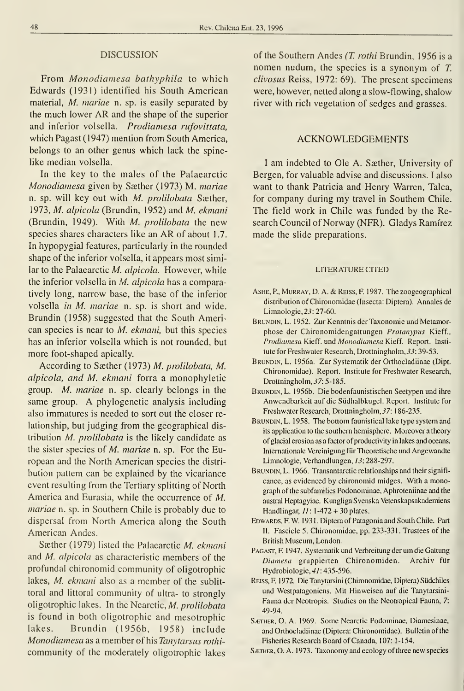#### DISCUSSION

From Monodiamesa bathyphila to which Edwards (1931) identified his South American material, M. mariae n. sp. is easily separated by the much lower AR and the shape of the superior and inferior volsella. Prodiamesa rufovittata, which Pagast (1947) mention from South America, belongs to an other genus which lack the spinelike median volsella.

In the key to the males of the Palaearctic Monodiamesa given by Sæther (1973) M. mariae n. sp. will key out with  $M$ . prolilobata Sæther, 1973, M. alpicola (Brundin, 1952) and M. ekmani (Brundin, 1949). With M. prolilobata the new species shares characters like an AR of about 1.7. In hypopygial features, particularly in the rounded shape of the inferior volsella, it appears most similar to the Palaearctic M. alpicola. However, while the inferior volsella in M. alpicola has a comparatively long, narrow base, the base of the inferior volsella in M. mariae n. sp. is short and wide. Brundin (1958) suggested that the South American species is near to *M. ekmani*, but this species has an inferior volsella which is not rounded, but more foot-shaped apically.

According to Saether (1973) M. prolilobata, M. alpicola, and M. ekmani forra a monophyletic group. M. mariae n. sp. clearly belongs in the same group. A phylogenetic analysis including also immatures is needed to sort out the closer re lationship, but judging from the geographical dis tribution M. prolilobata is the likely candidate as the sister species of M. mariae n. sp. For the European and the North American species the distri bution pattem can be explained by the vicariance event resulting from the Tertiary splitting of North America and Eurasia, while the occurrence of M. mariae n. sp. in Southern Chile is probably due to dispersal from North America along the South American Andes.

Sæther (1979) listed the Palaearctic M. ekmani and M. alpicola as characteristic members of the profundal chironomid community of oligotrophic lakes, M. ekmani also as a member of the sublittoral and littoral community of ultra- to strongly oligotrophic lakes. In the Nearctic, M. prolilobata is found in both oligotrophic and mesotrophic lakes. Brundin (1956b, 1958) include Monodiamesa as a member of his Tanytarsus rothi community of the moderately oligotrophic lakes

of the Southern Andes (T. rothi Brundin, 1956 is a nomen nudum, the species is <sup>a</sup> synonym of T. clivosas Reiss, 1972: 69). The present specimens were, however, netted along a slow-flowing, shalow river with rich vegetation of sedges and grasses.

### ACKNOWLEDGEMENTS

<sup>I</sup> am indebted to Ole A. Saether, University of Bergen, for valuable advise and discussions. <sup>I</sup> also want to thank Patricia and Henry Warren, Talca, for company during my travel in Southem Chile. The field work in Chile was funded by the Research Council of Norway (NFR). Gladys Ramírez made the slide preparations.

#### LITERATURECITED

- AsHE, P., MuRRAY, D. A. & Reiss, F. 1987. The zoogeographical distribution of Chironomidae (Insecta: Díptera). Annales de Limnologie, 23: 27-60.
- BRUNDIN, L. 1952. Zur Kenntnis der Taxonomie und Metamorphose der Chironomidengattungen Protanypus Kieff., Prodiamesa Kieff. und Monodiamesa Kieff. Report. Insti tute for Freshwater Research, Drottningholm, 33: 39-53.
- Brundin, L. 1956a. Zur Systematik der Orthocladiinae (Dipt. Chironomidae). Report. Institute for Freshwater Research, Drottningholm, 37: 5-185.
- Brundin, L. 1956b. Die bodenfaunistischen Seetypen und ihre Anwendbarkeit auf die Südhalbkugel. Report. Institute for Freshwater Research, Drottningholm, 37: 186-235.
- BRUNDIN, L. 1958. The bottom faunistical lake type system and its application to the southern hemisphere. Moreover a theory of glacial erosion as a factor of productivity in lakes and oceans. Internationale Vereinigung für Theoretische und Angewandte Limnologie, Verhandlungen, 13: 288-297.
- BRUNDIN, L. 1966. Transantarctic relationships and their significance, as evidenced by chironomid midges. With a monograph of the subfamilies Podonominae, Aphroteniinae and the austral Heptagyiae. Kungliga Svenska Vetenskapsakademiens Handlingar,  $11: 1-472 + 30$  plates.
- Edwards, F. W. 1931. Díptera of Patagonia and South Chile. Part II. Fascicle 5. Chironomidae, pp. 233-331. Trustees of the British Museum, London.
- PAGAST, F. 1947. Systematik und Verbreitung der um die Gattung Diamesa gruppierten Chironomiden. Archiv für Hydrobiologie, 41: 435-596.
- REISS, F. 1972. Die Tanytarsini (Chironomidae, Diptera) Südchiles und Westpatagoniens. Mit Hinweisen auf die Tanytarsini- Fauna der Neotropis. Studies on the Neotropical Fauna, 7: 49-94.
- SÆTHER, O. A. 1969. Some Nearctic Podominae, Diamesinae, and Orthocladiinae (Díptera; Chironomidae). Bulletin of the Fisheries Research Boardof Canadá, 107: 1-154.
- SÆTHER, O. A. 1973. Taxonomy and ecology of three new species